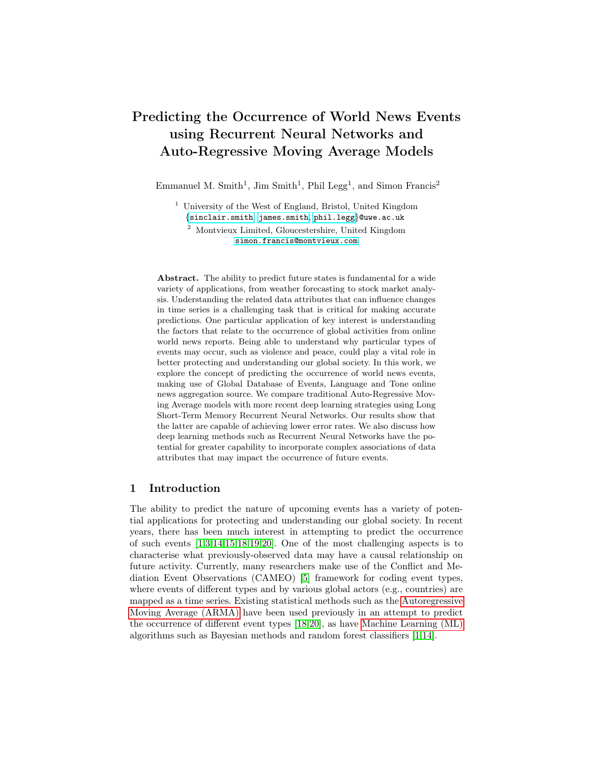# <span id="page-0-0"></span>Predicting the Occurrence of World News Events using Recurrent Neural Networks and Auto-Regressive Moving Average Models

Emmanuel M. Smith<sup>1</sup>, Jim Smith<sup>1</sup>, Phil Legg<sup>1</sup>, and Simon Francis<sup>2</sup>

<sup>1</sup> University of the West of England, Bristol, United Kingdom {[sinclair.smith](mailto:sinclair.smith@uwe.ac.uk), [james.smith](mailto:james.smith@uwe.ac.uk), [phil.legg](mailto:phil.legg@uwe.ac.uk)}@uwe.ac.uk

<sup>2</sup> Montvieux Limited, Gloucestershire, United Kingdom [simon.francis@montvieux.com](mailto:simon.francis@montvieux.com)

Abstract. The ability to predict future states is fundamental for a wide variety of applications, from weather forecasting to stock market analysis. Understanding the related data attributes that can influence changes in time series is a challenging task that is critical for making accurate predictions. One particular application of key interest is understanding the factors that relate to the occurrence of global activities from online world news reports. Being able to understand why particular types of events may occur, such as violence and peace, could play a vital role in better protecting and understanding our global society. In this work, we explore the concept of predicting the occurrence of world news events, making use of Global Database of Events, Language and Tone online news aggregation source. We compare traditional Auto-Regressive Moving Average models with more recent deep learning strategies using Long Short-Term Memory Recurrent Neural Networks. Our results show that the latter are capable of achieving lower error rates. We also discuss how deep learning methods such as Recurrent Neural Networks have the potential for greater capability to incorporate complex associations of data attributes that may impact the occurrence of future events.

## 1 Introduction

The ability to predict the nature of upcoming events has a variety of potential applications for protecting and understanding our global society. In recent years, there has been much interest in attempting to predict the occurrence of such events [\[1,](#page-10-0)[3](#page-10-1)[,14,](#page-11-0)[15,](#page-11-1)[18](#page-11-2)[,19,](#page-11-3)[20\]](#page-11-4). One of the most challenging aspects is to characterise what previously-observed data may have a causal relationship on future activity. Currently, many researchers make use of the Conflict and Mediation Event Observations (CAMEO) [\[5\]](#page-11-5) framework for coding event types, where events of different types and by various global actors (e.g., countries) are mapped as a time series. Existing statistical methods such as the Autoregressive Moving Average (ARMA) have been used previously in an attempt to predict the occurrence of different event types [\[18](#page-11-2)[,20\]](#page-11-4), as have Machine Learning (ML) algorithms such as Bayesian methods and random forest classifiers [\[1,](#page-10-0)[14\]](#page-11-0).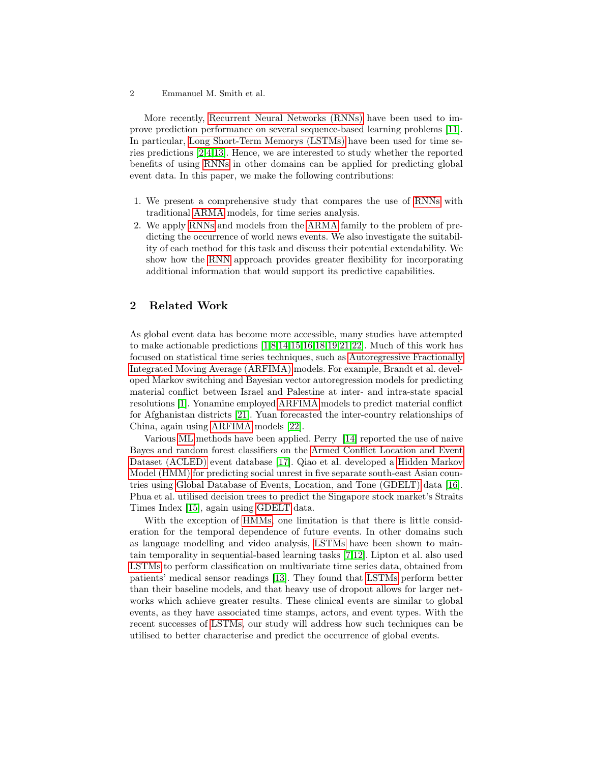2 Emmanuel M. Smith et al.

More recently, [Recurrent Neural Networks \(RNNs\)](#page-0-0) have been used to improve prediction performance on several sequence-based learning problems [\[11\]](#page-11-6). In particular, [Long Short-Term Memorys \(LSTMs\)](#page-0-0) have been used for time series predictions [\[2,](#page-10-2)[4](#page-10-3)[,13\]](#page-11-7). Hence, we are interested to study whether the reported benefits of using [RNNs](#page-0-0) in other domains can be applied for predicting global event data. In this paper, we make the following contributions:

- 1. We present a comprehensive study that compares the use of [RNNs](#page-0-0) with traditional [ARMA](#page-0-0) models, for time series analysis.
- 2. We apply [RNNs](#page-0-0) and models from the [ARMA](#page-0-0) family to the problem of predicting the occurrence of world news events. We also investigate the suitability of each method for this task and discuss their potential extendability. We show how the [RNN](#page-0-0) approach provides greater flexibility for incorporating additional information that would support its predictive capabilities.

# 2 Related Work

As global event data has become more accessible, many studies have attempted to make actionable predictions [\[1,](#page-10-0)[8,](#page-11-8)[14,](#page-11-0)[15,](#page-11-1)[16](#page-11-9)[,18,](#page-11-2)[19,](#page-11-3)[21,](#page-11-10)[22\]](#page-11-11). Much of this work has focused on statistical time series techniques, such as [Autoregressive Fractionally](#page-0-0) [Integrated Moving Average \(ARFIMA\)](#page-0-0) models. For example, Brandt et al. developed Markov switching and Bayesian vector autoregression models for predicting material conflict between Israel and Palestine at inter- and intra-state spacial resolutions [\[1\]](#page-10-0). Yonamine employed [ARFIMA](#page-0-0) models to predict material conflict for Afghanistan districts [\[21\]](#page-11-10). Yuan forecasted the inter-country relationships of China, again using [ARFIMA](#page-0-0) models [\[22\]](#page-11-11).

Various [ML](#page-0-0) methods have been applied. Perry [\[14\]](#page-11-0) reported the use of naive Bayes and random forest classifiers on the [Armed Conflict Location and Event](#page-0-0) [Dataset \(ACLED\)](#page-0-0) event database [\[17\]](#page-11-12). Qiao et al. developed a [Hidden Markov](#page-0-0) [Model \(HMM\)](#page-0-0) for predicting social unrest in five separate south-east Asian countries using [Global Database of Events, Location, and Tone \(GDELT\)](#page-0-0) data [\[16\]](#page-11-9). Phua et al. utilised decision trees to predict the Singapore stock market's Straits Times Index [\[15\]](#page-11-1), again using [GDELT](#page-0-0) data.

With the exception of [HMMs,](#page-0-0) one limitation is that there is little consideration for the temporal dependence of future events. In other domains such as language modelling and video analysis, [LSTMs](#page-0-0) have been shown to maintain temporality in sequential-based learning tasks [\[7,](#page-11-13)[12\]](#page-11-14). Lipton et al. also used [LSTMs](#page-0-0) to perform classification on multivariate time series data, obtained from patients' medical sensor readings [\[13\]](#page-11-7). They found that [LSTMs](#page-0-0) perform better than their baseline models, and that heavy use of dropout allows for larger networks which achieve greater results. These clinical events are similar to global events, as they have associated time stamps, actors, and event types. With the recent successes of [LSTMs,](#page-0-0) our study will address how such techniques can be utilised to better characterise and predict the occurrence of global events.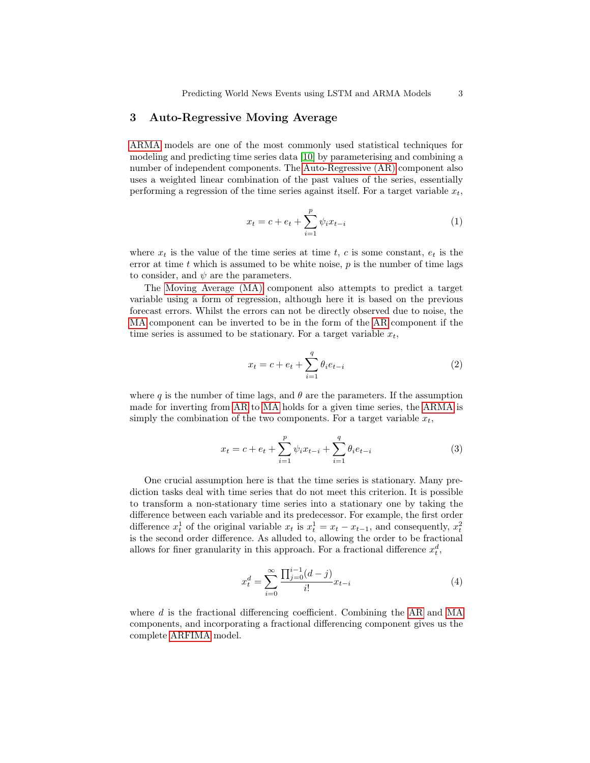### 3 Auto-Regressive Moving Average

[ARMA](#page-0-0) models are one of the most commonly used statistical techniques for modeling and predicting time series data [\[10\]](#page-11-15) by parameterising and combining a number of independent components. The [Auto-Regressive \(AR\)](#page-0-0) component also uses a weighted linear combination of the past values of the series, essentially performing a regression of the time series against itself. For a target variable  $x_t$ ,

$$
x_t = c + e_t + \sum_{i=1}^p \psi_i x_{t-i}
$$
 (1)

where  $x_t$  is the value of the time series at time t, c is some constant,  $e_t$  is the error at time  $t$  which is assumed to be white noise,  $p$  is the number of time lags to consider, and  $\psi$  are the parameters.

The [Moving Average \(MA\)](#page-0-0) component also attempts to predict a target variable using a form of regression, although here it is based on the previous forecast errors. Whilst the errors can not be directly observed due to noise, the [MA](#page-0-0) component can be inverted to be in the form of the [AR](#page-0-0) component if the time series is assumed to be stationary. For a target variable  $x_t$ ,

$$
x_t = c + e_t + \sum_{i=1}^{q} \theta_i e_{t-i}
$$
 (2)

where q is the number of time lags, and  $\theta$  are the parameters. If the assumption made for inverting from [AR](#page-0-0) to [MA](#page-0-0) holds for a given time series, the [ARMA](#page-0-0) is simply the combination of the two components. For a target variable  $x_t$ ,

$$
x_t = c + e_t + \sum_{i=1}^p \psi_i x_{t-i} + \sum_{i=1}^q \theta_i e_{t-i}
$$
 (3)

One crucial assumption here is that the time series is stationary. Many prediction tasks deal with time series that do not meet this criterion. It is possible to transform a non-stationary time series into a stationary one by taking the difference between each variable and its predecessor. For example, the first order difference  $x_t^1$  of the original variable  $x_t$  is  $x_t^1 = x_t - x_{t-1}$ , and consequently,  $x_t^2$ is the second order difference. As alluded to, allowing the order to be fractional allows for finer granularity in this approach. For a fractional difference  $x_t^d$ ,

$$
x_t^d = \sum_{i=0}^{\infty} \frac{\prod_{j=0}^{i-1} (d-j)}{i!} x_{t-i}
$$
 (4)

where d is the fractional differencing coefficient. Combining the [AR](#page-0-0) and [MA](#page-0-0) components, and incorporating a fractional differencing component gives us the complete [ARFIMA](#page-0-0) model.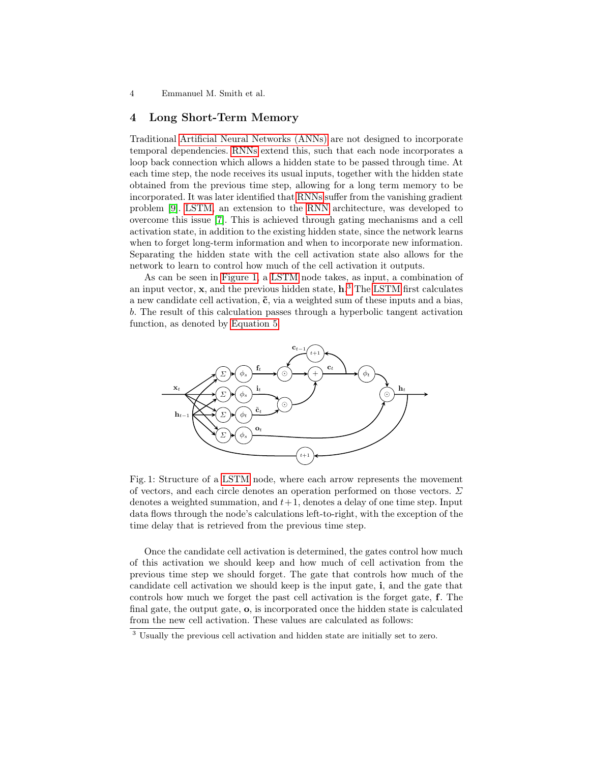4 Emmanuel M. Smith et al.

### 4 Long Short-Term Memory

Traditional [Artificial Neural Networks \(ANNs\)](#page-0-0) are not designed to incorporate temporal dependencies. [RNNs](#page-0-0) extend this, such that each node incorporates a loop back connection which allows a hidden state to be passed through time. At each time step, the node receives its usual inputs, together with the hidden state obtained from the previous time step, allowing for a long term memory to be incorporated. It was later identified that [RNNs](#page-0-0) suffer from the vanishing gradient problem [\[9\]](#page-11-16). [LSTM,](#page-0-0) an extension to the [RNN](#page-0-0) architecture, was developed to overcome this issue [\[7\]](#page-11-13). This is achieved through gating mechanisms and a cell activation state, in addition to the existing hidden state, since the network learns when to forget long-term information and when to incorporate new information. Separating the hidden state with the cell activation state also allows for the network to learn to control how much of the cell activation it outputs.

As can be seen in [Figure 1,](#page-3-0) a [LSTM](#page-0-0) node takes, as input, a combination of an input vector,  $x$ , and the previous hidden state,  $h^3$  $h^3$ . The [LSTM](#page-0-0) first calculates a new candidate cell activation,  $\tilde{c}$ , via a weighted sum of these inputs and a bias, b. The result of this calculation passes through a hyperbolic tangent activation function, as denoted by [Equation 5.](#page-4-0)

<span id="page-3-0"></span>

Fig. 1: Structure of a [LSTM](#page-0-0) node, where each arrow represents the movement of vectors, and each circle denotes an operation performed on those vectors.  $\Sigma$ denotes a weighted summation, and  $t+1$ , denotes a delay of one time step. Input data flows through the node's calculations left-to-right, with the exception of the time delay that is retrieved from the previous time step.

Once the candidate cell activation is determined, the gates control how much of this activation we should keep and how much of cell activation from the previous time step we should forget. The gate that controls how much of the candidate cell activation we should keep is the input gate, i, and the gate that controls how much we forget the past cell activation is the forget gate, f. The final gate, the output gate, o, is incorporated once the hidden state is calculated from the new cell activation. These values are calculated as follows:

<span id="page-3-1"></span><sup>3</sup> Usually the previous cell activation and hidden state are initially set to zero.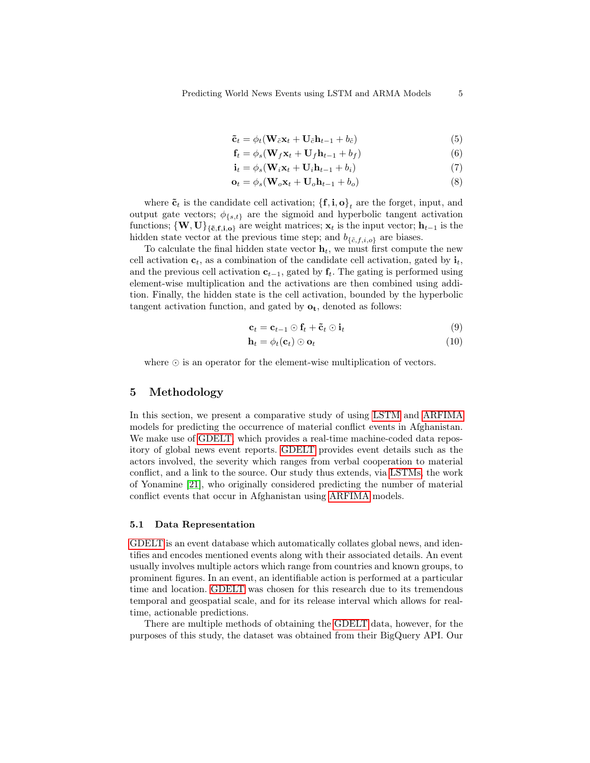$$
\tilde{\mathbf{c}}_t = \phi_t (\mathbf{W}_{\tilde{c}} \mathbf{x}_t + \mathbf{U}_{\tilde{c}} \mathbf{h}_{t-1} + b_{\tilde{c}})
$$
(5)

$$
\mathbf{f}_t = \phi_s(\mathbf{W}_f \mathbf{x}_t + \mathbf{U}_f \mathbf{h}_{t-1} + b_f) \tag{6}
$$

$$
\mathbf{i}_t = \phi_s(\mathbf{W}_i \mathbf{x}_t + \mathbf{U}_i \mathbf{h}_{t-1} + b_i) \tag{7}
$$

$$
\mathbf{o}_t = \phi_s(\mathbf{W}_o \mathbf{x}_t + \mathbf{U}_o \mathbf{h}_{t-1} + b_o) \tag{8}
$$

where  $\tilde{\mathbf{c}}_t$  is the candidate cell activation;  $\{\mathbf{f}, \mathbf{i}, \mathbf{o}\}_t$  are the forget, input, and output gate vectors;  $\phi_{\{s,t\}}$  are the sigmoid and hyperbolic tangent activation functions;  ${W, U}_{f, \tilde{c}, f, i, o}$  are weight matrices;  $x_t$  is the input vector;  $h_{t-1}$  is the hidden state vector at the previous time step; and  $b_{\{\tilde{c},f,i,o\}}$  are biases.

To calculate the final hidden state vector  $\mathbf{h}_t$ , we must first compute the new cell activation  $c_t$ , as a combination of the candidate cell activation, gated by  $\mathbf{i}_t$ , and the previous cell activation  $c_{t-1}$ , gated by  $f_t$ . The gating is performed using element-wise multiplication and the activations are then combined using addition. Finally, the hidden state is the cell activation, bounded by the hyperbolic tangent activation function, and gated by  $o_t$ , denoted as follows:

$$
\mathbf{c}_t = \mathbf{c}_{t-1} \odot \mathbf{f}_t + \tilde{\mathbf{c}}_t \odot \mathbf{i}_t \tag{9}
$$

$$
\mathbf{h}_t = \phi_t(\mathbf{c}_t) \odot \mathbf{o}_t \tag{10}
$$

where  $\odot$  is an operator for the element-wise multiplication of vectors.

## 5 Methodology

In this section, we present a comparative study of using [LSTM](#page-0-0) and [ARFIMA](#page-0-0) models for predicting the occurrence of material conflict events in Afghanistan. We make use of [GDELT,](#page-0-0) which provides a real-time machine-coded data repository of global news event reports. [GDELT](#page-0-0) provides event details such as the actors involved, the severity which ranges from verbal cooperation to material conflict, and a link to the source. Our study thus extends, via [LSTMs,](#page-0-0) the work of Yonamine [\[21\]](#page-11-10), who originally considered predicting the number of material conflict events that occur in Afghanistan using [ARFIMA](#page-0-0) models.

### 5.1 Data Representation

[GDELT](#page-0-0) is an event database which automatically collates global news, and identifies and encodes mentioned events along with their associated details. An event usually involves multiple actors which range from countries and known groups, to prominent figures. In an event, an identifiable action is performed at a particular time and location. [GDELT](#page-0-0) was chosen for this research due to its tremendous temporal and geospatial scale, and for its release interval which allows for realtime, actionable predictions.

There are multiple methods of obtaining the [GDELT](#page-0-0) data, however, for the purposes of this study, the dataset was obtained from their BigQuery API. Our

<span id="page-4-0"></span>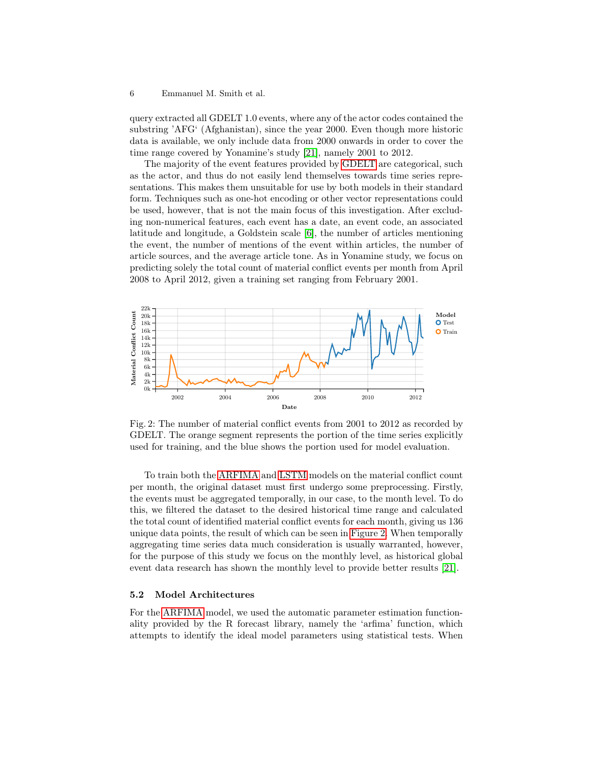#### 6 Emmanuel M. Smith et al.

query extracted all GDELT 1.0 events, where any of the actor codes contained the substring 'AFG' (Afghanistan), since the year 2000. Even though more historic data is available, we only include data from 2000 onwards in order to cover the time range covered by Yonamine's study [\[21\]](#page-11-10), namely 2001 to 2012.

The majority of the event features provided by [GDELT](#page-0-0) are categorical, such as the actor, and thus do not easily lend themselves towards time series representations. This makes them unsuitable for use by both models in their standard form. Techniques such as one-hot encoding or other vector representations could be used, however, that is not the main focus of this investigation. After excluding non-numerical features, each event has a date, an event code, an associated latitude and longitude, a Goldstein scale [\[6\]](#page-11-17), the number of articles mentioning the event, the number of mentions of the event within articles, the number of article sources, and the average article tone. As in Yonamine study, we focus on predicting solely the total count of material conflict events per month from April 2008 to April 2012, given a training set ranging from February 2001.

<span id="page-5-0"></span>

Fig. 2: The number of material conflict events from 2001 to 2012 as recorded by GDELT. The orange segment represents the portion of the time series explicitly used for training, and the blue shows the portion used for model evaluation.

To train both the [ARFIMA](#page-0-0) and [LSTM](#page-0-0) models on the material conflict count per month, the original dataset must first undergo some preprocessing. Firstly, the events must be aggregated temporally, in our case, to the month level. To do this, we filtered the dataset to the desired historical time range and calculated the total count of identified material conflict events for each month, giving us 136 unique data points, the result of which can be seen in [Figure 2.](#page-5-0) When temporally aggregating time series data much consideration is usually warranted, however, for the purpose of this study we focus on the monthly level, as historical global event data research has shown the monthly level to provide better results [\[21\]](#page-11-10).

### 5.2 Model Architectures

For the [ARFIMA](#page-0-0) model, we used the automatic parameter estimation functionality provided by the R forecast library, namely the 'arfima' function, which attempts to identify the ideal model parameters using statistical tests. When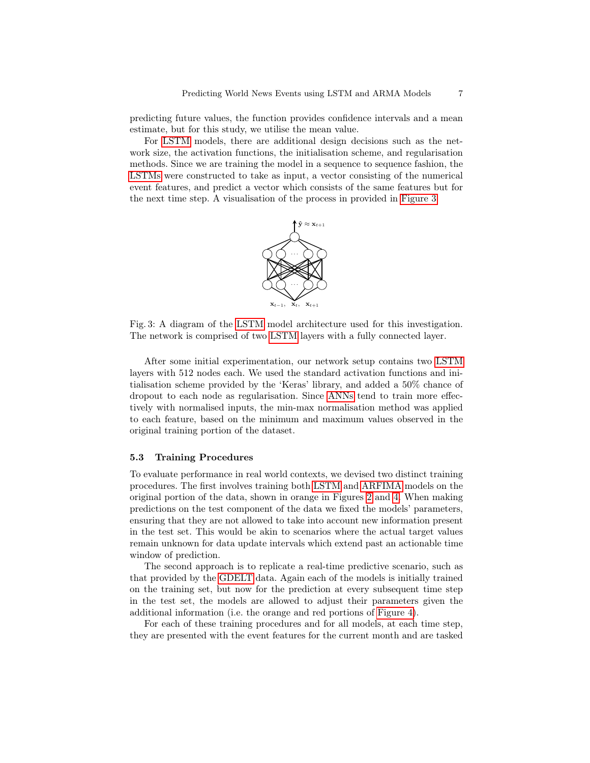predicting future values, the function provides confidence intervals and a mean estimate, but for this study, we utilise the mean value.

<span id="page-6-0"></span>For [LSTM](#page-0-0) models, there are additional design decisions such as the network size, the activation functions, the initialisation scheme, and regularisation methods. Since we are training the model in a sequence to sequence fashion, the [LSTMs](#page-0-0) were constructed to take as input, a vector consisting of the numerical event features, and predict a vector which consists of the same features but for the next time step. A visualisation of the process in provided in [Figure 3.](#page-6-0)



Fig. 3: A diagram of the [LSTM](#page-0-0) model architecture used for this investigation. The network is comprised of two [LSTM](#page-0-0) layers with a fully connected layer.

After some initial experimentation, our network setup contains two [LSTM](#page-0-0) layers with 512 nodes each. We used the standard activation functions and initialisation scheme provided by the 'Keras' library, and added a 50% chance of dropout to each node as regularisation. Since [ANNs](#page-0-0) tend to train more effectively with normalised inputs, the min-max normalisation method was applied to each feature, based on the minimum and maximum values observed in the original training portion of the dataset.

#### 5.3 Training Procedures

To evaluate performance in real world contexts, we devised two distinct training procedures. The first involves training both [LSTM](#page-0-0) and [ARFIMA](#page-0-0) models on the original portion of the data, shown in orange in Figures [2](#page-5-0) and [4.](#page-7-0) When making predictions on the test component of the data we fixed the models' parameters, ensuring that they are not allowed to take into account new information present in the test set. This would be akin to scenarios where the actual target values remain unknown for data update intervals which extend past an actionable time window of prediction.

The second approach is to replicate a real-time predictive scenario, such as that provided by the [GDELT](#page-0-0) data. Again each of the models is initially trained on the training set, but now for the prediction at every subsequent time step in the test set, the models are allowed to adjust their parameters given the additional information (i.e. the orange and red portions of [Figure 4\)](#page-7-0).

For each of these training procedures and for all models, at each time step, they are presented with the event features for the current month and are tasked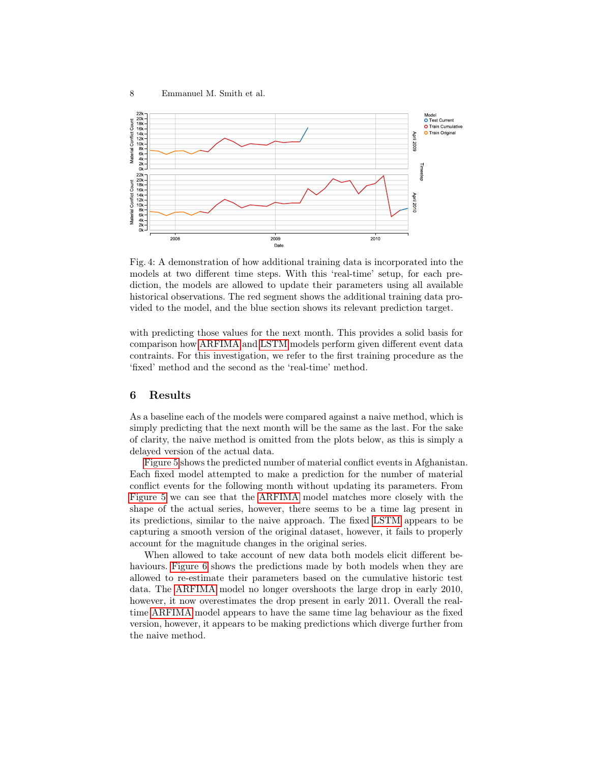

<span id="page-7-0"></span>

Fig. 4: A demonstration of how additional training data is incorporated into the models at two different time steps. With this 'real-time' setup, for each prediction, the models are allowed to update their parameters using all available historical observations. The red segment shows the additional training data provided to the model, and the blue section shows its relevant prediction target.

with predicting those values for the next month. This provides a solid basis for comparison how [ARFIMA](#page-0-0) and [LSTM](#page-0-0) models perform given different event data contraints. For this investigation, we refer to the first training procedure as the 'fixed' method and the second as the 'real-time' method.

### 6 Results

As a baseline each of the models were compared against a naive method, which is simply predicting that the next month will be the same as the last. For the sake of clarity, the naive method is omitted from the plots below, as this is simply a delayed version of the actual data.

[Figure 5](#page-8-0) shows the predicted number of material conflict events in Afghanistan. Each fixed model attempted to make a prediction for the number of material conflict events for the following month without updating its parameters. From [Figure 5](#page-8-0) we can see that the [ARFIMA](#page-0-0) model matches more closely with the shape of the actual series, however, there seems to be a time lag present in its predictions, similar to the naive approach. The fixed [LSTM](#page-0-0) appears to be capturing a smooth version of the original dataset, however, it fails to properly account for the magnitude changes in the original series.

When allowed to take account of new data both models elicit different be-haviours. [Figure 6](#page-8-1) shows the predictions made by both models when they are allowed to re-estimate their parameters based on the cumulative historic test data. The [ARFIMA](#page-0-0) model no longer overshoots the large drop in early 2010, however, it now overestimates the drop present in early 2011. Overall the realtime [ARFIMA](#page-0-0) model appears to have the same time lag behaviour as the fixed version, however, it appears to be making predictions which diverge further from the naive method.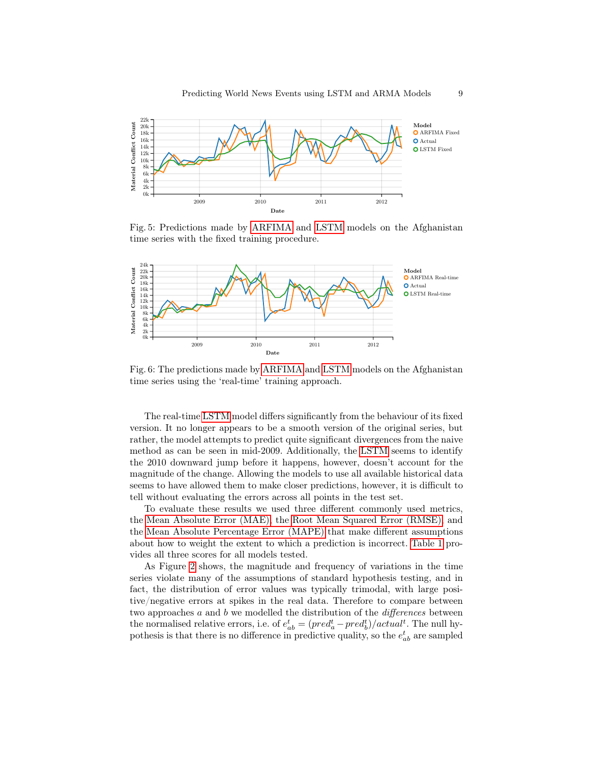<span id="page-8-0"></span>

Fig. 5: Predictions made by [ARFIMA](#page-0-0) and [LSTM](#page-0-0) models on the Afghanistan time series with the fixed training procedure.

<span id="page-8-1"></span>

Fig. 6: The predictions made by [ARFIMA](#page-0-0) and [LSTM](#page-0-0) models on the Afghanistan time series using the 'real-time' training approach.

The real-time [LSTM](#page-0-0) model differs significantly from the behaviour of its fixed version. It no longer appears to be a smooth version of the original series, but rather, the model attempts to predict quite significant divergences from the naive method as can be seen in mid-2009. Additionally, the [LSTM](#page-0-0) seems to identify the 2010 downward jump before it happens, however, doesn't account for the magnitude of the change. Allowing the models to use all available historical data seems to have allowed them to make closer predictions, however, it is difficult to tell without evaluating the errors across all points in the test set.

To evaluate these results we used three different commonly used metrics, the [Mean Absolute Error \(MAE\),](#page-0-0) the [Root Mean Squared Error \(RMSE\),](#page-0-0) and the [Mean Absolute Percentage Error \(MAPE\)](#page-0-0) that make different assumptions about how to weight the extent to which a prediction is incorrect. [Table 1](#page-9-0) provides all three scores for all models tested.

As Figure [2](#page-5-0) shows, the magnitude and frequency of variations in the time series violate many of the assumptions of standard hypothesis testing, and in fact, the distribution of error values was typically trimodal, with large positive/negative errors at spikes in the real data. Therefore to compare between two approaches  $a$  and  $b$  we modelled the distribution of the *differences* between the normalised relative errors, i.e. of  $e_{ab}^t = (pred_a^t - pred_b^t)/actual^t$ . The null hypothesis is that there is no difference in predictive quality, so the  $e_{ab}^t$  are sampled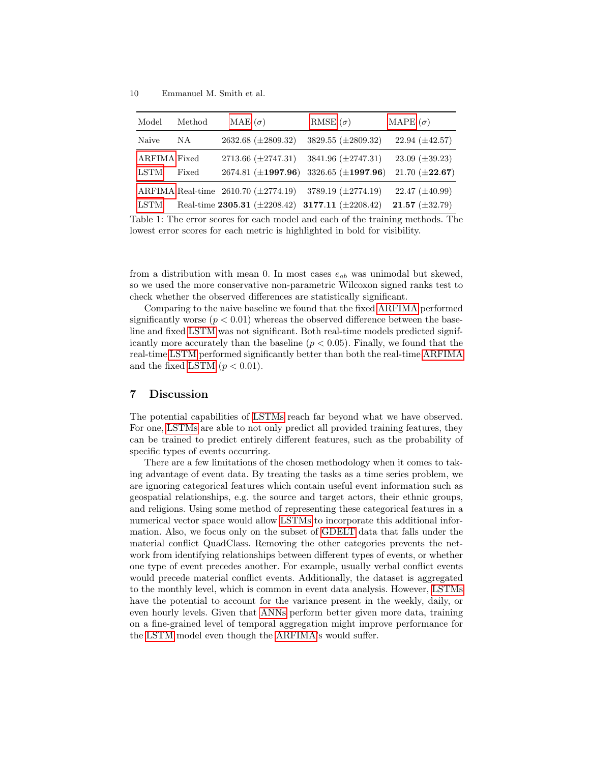<span id="page-9-0"></span>

| Model               | Method | MAE $(\sigma)$                             | RMSE $(\sigma)$                                   | MAPE $(\sigma)$       |
|---------------------|--------|--------------------------------------------|---------------------------------------------------|-----------------------|
| Naive               | NA     | $2632.68 \ (\pm 2809.32)$                  | 3829.55 (±2809.32)                                | $22.94 \ (\pm 42.57)$ |
| <b>ARFIMA Fixed</b> |        | $2713.66 \ (\pm 2747.31)$                  | $3841.96 \ (\pm 2747.31)$                         | $23.09 \ (\pm 39.23)$ |
| <b>LSTM</b>         | Fixed  |                                            | 2674.81 ( $\pm$ 1997.96) 3326.65 ( $\pm$ 1997.96) | 21.70 $(\pm 22.67)$   |
|                     |        | ARFIMA Real-time $2610.70 \ (\pm 2774.19)$ | 3789.19 $(\pm 2774.19)$                           | $22.47 \ (\pm 40.99)$ |
| <b>LSTM</b>         |        | Real-time $2305.31~(\pm 2208.42)$          | 3177.11 $(\pm 2208.42)$                           | $21.57 (\pm 32.79)$   |

Table 1: The error scores for each model and each of the training methods. The lowest error scores for each metric is highlighted in bold for visibility.

from a distribution with mean 0. In most cases  $e_{ab}$  was unimodal but skewed, so we used the more conservative non-parametric Wilcoxon signed ranks test to check whether the observed differences are statistically significant.

Comparing to the naive baseline we found that the fixed [ARFIMA](#page-0-0) performed significantly worse  $(p < 0.01)$  whereas the observed difference between the baseline and fixed [LSTM](#page-0-0) was not significant. Both real-time models predicted significantly more accurately than the baseline  $(p < 0.05)$ . Finally, we found that the real-time [LSTM](#page-0-0) performed significantly better than both the real-time [ARFIMA](#page-0-0) and the fixed [LSTM](#page-0-0)  $(p < 0.01)$ .

## 7 Discussion

The potential capabilities of [LSTMs](#page-0-0) reach far beyond what we have observed. For one, [LSTMs](#page-0-0) are able to not only predict all provided training features, they can be trained to predict entirely different features, such as the probability of specific types of events occurring.

There are a few limitations of the chosen methodology when it comes to taking advantage of event data. By treating the tasks as a time series problem, we are ignoring categorical features which contain useful event information such as geospatial relationships, e.g. the source and target actors, their ethnic groups, and religions. Using some method of representing these categorical features in a numerical vector space would allow [LSTMs](#page-0-0) to incorporate this additional information. Also, we focus only on the subset of [GDELT](#page-0-0) data that falls under the material conflict QuadClass. Removing the other categories prevents the network from identifying relationships between different types of events, or whether one type of event precedes another. For example, usually verbal conflict events would precede material conflict events. Additionally, the dataset is aggregated to the monthly level, which is common in event data analysis. However, [LSTMs](#page-0-0) have the potential to account for the variance present in the weekly, daily, or even hourly levels. Given that [ANNs](#page-0-0) perform better given more data, training on a fine-grained level of temporal aggregation might improve performance for the [LSTM](#page-0-0) model even though the [ARFIMA'](#page-0-0)s would suffer.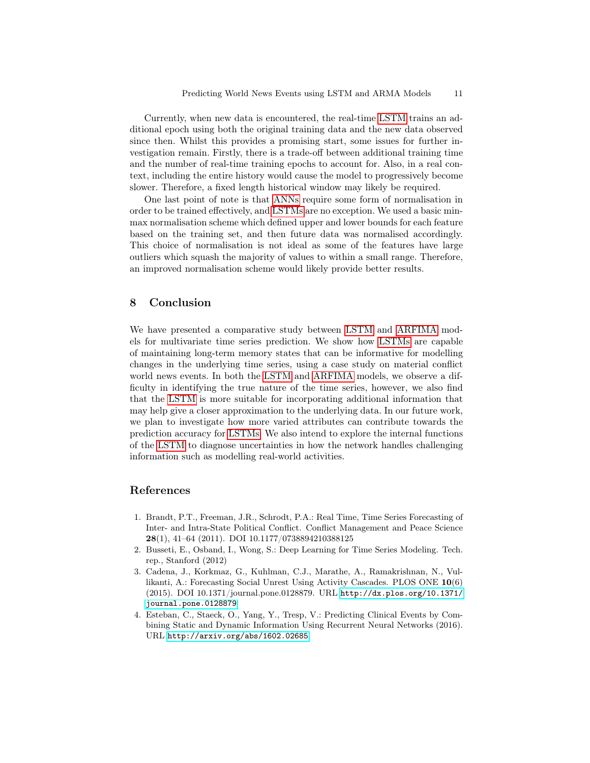Currently, when new data is encountered, the real-time [LSTM](#page-0-0) trains an additional epoch using both the original training data and the new data observed since then. Whilst this provides a promising start, some issues for further investigation remain. Firstly, there is a trade-off between additional training time and the number of real-time training epochs to account for. Also, in a real context, including the entire history would cause the model to progressively become slower. Therefore, a fixed length historical window may likely be required.

One last point of note is that [ANNs](#page-0-0) require some form of normalisation in order to be trained effectively, and [LSTMs](#page-0-0) are no exception. We used a basic minmax normalisation scheme which defined upper and lower bounds for each feature based on the training set, and then future data was normalised accordingly. This choice of normalisation is not ideal as some of the features have large outliers which squash the majority of values to within a small range. Therefore, an improved normalisation scheme would likely provide better results.

## 8 Conclusion

We have presented a comparative study between [LSTM](#page-0-0) and [ARFIMA](#page-0-0) models for multivariate time series prediction. We show how [LSTMs](#page-0-0) are capable of maintaining long-term memory states that can be informative for modelling changes in the underlying time series, using a case study on material conflict world news events. In both the [LSTM](#page-0-0) and [ARFIMA](#page-0-0) models, we observe a difficulty in identifying the true nature of the time series, however, we also find that the [LSTM](#page-0-0) is more suitable for incorporating additional information that may help give a closer approximation to the underlying data. In our future work, we plan to investigate how more varied attributes can contribute towards the prediction accuracy for [LSTMs.](#page-0-0) We also intend to explore the internal functions of the [LSTM](#page-0-0) to diagnose uncertainties in how the network handles challenging information such as modelling real-world activities.

# References

- <span id="page-10-0"></span>1. Brandt, P.T., Freeman, J.R., Schrodt, P.A.: Real Time, Time Series Forecasting of Inter- and Intra-State Political Conflict. Conflict Management and Peace Science 28(1), 41–64 (2011). DOI 10.1177/0738894210388125
- <span id="page-10-2"></span>2. Busseti, E., Osband, I., Wong, S.: Deep Learning for Time Series Modeling. Tech. rep., Stanford (2012)
- <span id="page-10-1"></span>3. Cadena, J., Korkmaz, G., Kuhlman, C.J., Marathe, A., Ramakrishnan, N., Vullikanti, A.: Forecasting Social Unrest Using Activity Cascades. PLOS ONE 10(6) (2015). DOI 10.1371/journal.pone.0128879. URL [http://dx.plos.org/10.1371/](http://dx.plos.org/10.1371/journal.pone.0128879) [journal.pone.0128879](http://dx.plos.org/10.1371/journal.pone.0128879)
- <span id="page-10-3"></span>4. Esteban, C., Staeck, O., Yang, Y., Tresp, V.: Predicting Clinical Events by Combining Static and Dynamic Information Using Recurrent Neural Networks (2016). URL <http://arxiv.org/abs/1602.02685>